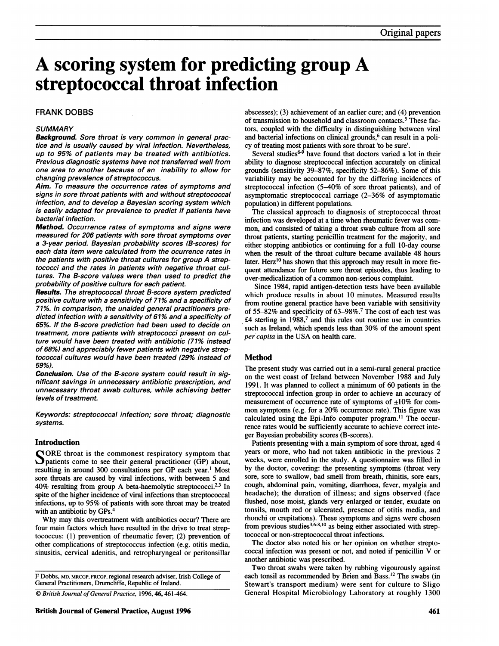# A scoring system for predicting group A streptococcal throat infection

### FRANK DOBBS

### **SUMMARY**

Background. Sore throat is very common in general practice and is usually caused by viral infection. Nevertheless, up to 95% of patients may be treated with antibiotics. Previous diagnostic systems have not transferred well from one area to another because of an inability to allow for changing prevalence of streptococcus.

Aim. To measure the occurrence rates of symptoms and signs in sore throat patients with and without streptococcal infection, and to develop a Bayesian scoring system which is easily adapted for prevalence to predict if patients have bacterial infection.

Method. Occurrence rates of symptoms and signs were measured for 206 patients with sore throat symptoms over a 3-year period. Bayesian probability scores (B-scores) for each data item were calculated from the ocurrence rates in the patients with positive throat cultures for group A streptococci and the rates in patients with negative throat cultures. The B-score values were then used to predict the probability of positive culture for each patient.

Results. The streptococcal throat B-score system predicted positive culture with a sensitivity of 71% and a specificity of 71%. In comparison, the unaided general practitioners predicted infection with a sensitivity of 61% and a specificity of 65%. If the B-score prediction had been used to decide on treatment, more patients with streptococci present on culture would have been treated with antibiotic (71% instead of 68%) and appreciably fewer patients with negative streptococcal cultures would have been treated (29% instead of 59%).

Conclusion. Use of the B-score system could result in significant savings in unnecessary antibiotic prescription, and unnecessary throat swab cultures, while achieving better levels of treatment.

Keywords: streptococcal infection; sore throat; diagnostic systems.

### Introduction

SORE throat is the commonest respiratory symptom that patients come to see their general practitioner (GP) about, resulting in around 300 consultations per GP each year.' Most sore throats are caused by viral infections, with between 5 and 40% resulting from group A beta-haemolytic streptococci.23 In spite of the higher incidence of viral infections than streptococcal infections, up to 95% of patients with sore throat may be treated with an antibiotic by GPs.4

Why may this overtreatment with antibiotics occur? There are four main factors which have resulted in the drive to treat streptococcus: (1) prevention of rheumatic fever; (2) prevention of other complications of streptococcus infection (e.g. otitis media, sinusitis, cervical adenitis, and retropharyngeal or peritonsillar

F Dobbs, MD, MRCGP, FRCGP, regional research adviser, Irish College of General Practitioners, Drumcliffe, Republic of Ireland.

abscesses); (3) achievement of an earlier cure; and (4) prevention of transmission to household and classroom contacts.<sup>5</sup> These factors, coupled with the difficulty in distinguishing between viral and bacterial infections on clinical grounds,<sup>6</sup> can result in a policy of treating most patients with sore throat 'to be sure'.

Several studies $6-9$  have found that doctors varied a lot in their ability to diagnose streptococcal infection accurately on clinical grounds (sensitivity 39-87%, specificity 52-86%). Some of this variability may be accounted for by the differing incidences of streptococcal infection (5-40% of sore throat patients), and of asymptomatic streptococcal carriage (2-36% of asymptomatic population) in different populations.

The classical approach to diagnosis of streptococcal throat infection was developed at a time when rheumatic fever was common, and consisted of taking a throat swab culture from all sore throat patients, starting penicillin treatment for the majority, and either stopping antibiotics or continuing for a full 10-day course when the result of the throat culture became available 48 hours later. Herz<sup>10</sup> has shown that this approach may result in more frequent attendance for future sore throat episodes, thus leading to over-medicalization of a common non-serious complaint.

Since 1984, rapid antigen-detection tests have been available which produce results in about 10 minutes. Measured results from routine general practice have been variable with sensitivity of 55-82% and specificity of 63-98%. The cost of each test was  $£4$  sterling in 1988, $7$  and this rules out routine use in countries such as Ireland, which spends less than 30% of the amount spent per capita in the USA on health care.

### Method

The present study was carried out in a semi-rural general practice on the west coast of Ireland between November 1988 and July 1991. It was planned to collect a minimum of 60 patients in the streptococcal infection group in order to achieve an accuracy of measurement of occurrence rate of symptoms of  $\pm 10\%$  for common symptoms (e.g. for a 20% occurrence rate). This figure was calculated using the Epi-Info computer program.<sup>11</sup> The occurrence rates would be sufficiently accurate to achieve correct integer Bayesian probability scores (B-scores).

Patients presenting with a main symptom of sore throat, aged 4 years or more, who had not taken antibiotic in the previous 2 weeks, were enrolled in the study. A questionnaire was filled in by the doctor, covering: the presenting symptoms (throat very sore, sore to swallow, bad smell from breath, rhinitis, sore ears, cough, abdominal pain, vomiting, diarrhoea, fever, myalgia and headache); the duration of illness; and signs observed (face flushed, nose moist, glands very enlarged or tender, exudate on tonsils, mouth red or ulcerated, presence of otitis media, and rhonchi or crepitations). These symptoms and signs were chosen from previous studies<sup>3,6-8,10</sup> as being either associated with streptococcal or non-streptococcal throat infections.

The doctor also noted his or her opinion on whether streptococcal infection was present or not, and noted if penicillin  $\bar{V}$  or another antibiotic was prescribed.

Two throat swabs were taken by rubbing vigourously against each tonsil as recommended by Brien and Bass.<sup>12</sup> The swabs (in Stewart's transport medium) were sent for culture to Sligo General Hospital Microbiology Laboratory at roughly 1300

<sup>©</sup> British Journal of General Practice, 1996, 46, 461-464.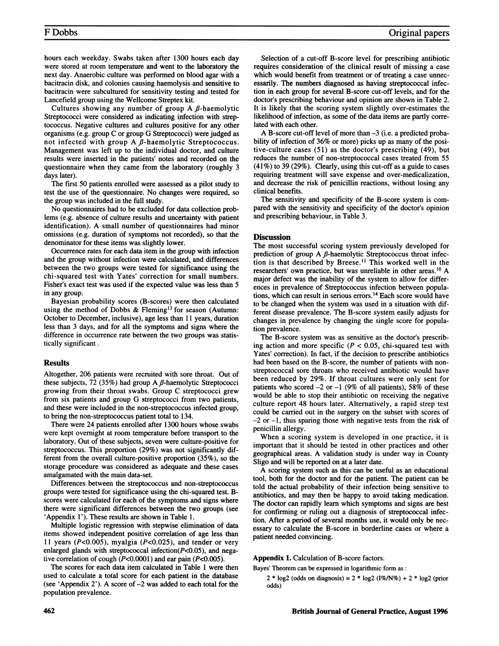### F Dobbs

hours each weekday. Swabs taken after 1300 hours each day were stored at room temperature and went to the laboratory the next day. Anaerobic culture was performed on blood agar with a bacitracin disk, and colonies causing haemolysis and sensitive to bacitracin were subcultured for sensitivity testing and tested for Lancefield group using the Wellcome Streptex kit.

Cultures showing any number of group A  $\beta$ -haemolytic Streptococci were considered as indicating infection with streptococcus. Negative cultures and cultures positive for any other organisms (e.g. group C or group G Streptococci) were judged as not infected with group A  $\beta$ -haemolytic Streptococcus. Management was left up to the individual doctor, and culture results were inserted in the patients' notes and recorded on the questionnaire when they came from the laboratory (roughly 3 days later).

The first 50 patients enrolled were assessed as a pilot study to test the use of the questionnaire. No changes were required, so the group was included in the full study.

No questionnaires had to be excluded for data collection problems (e.g. absence of culture results and uncertainty with patient identification). A small number of questionnaires had minor omissions (e.g. duration of symptoms not recorded), so that the denominator for these items was slightly lower.

Occurrence rates for each data item in the group with infection and the group without infection were calculated, and differences between the two groups were tested for significance using the chi-squared test with Yates' correction for small numbers. Fisher's exact test was used if the expected value was less than 5 in any group.

Bayesian probability scores (B-scores) were then calculated using the method of Dobbs & Fleming<sup>13</sup> for season (Autumn: October to December, inclusive), age less than 11 years, duration less than 3 days, and for all the symptoms and signs where the difference in occurrence rate between the two groups was statistically significant .

### Results

Altogether, 206 patients were recruited with sore throat. Out of these subjects, 72 (35%) had group A  $\beta$ -haemolytic Streptococci growing from their throat swabs. Group C streptococci grew from six patients and group G streptococci from two patients, and these were included in the non-streptococcus infected group, to bring the non-streptococcus patient total to 134.

There were 24 patients enrolled after 1300 hours whose swabs were kept overnight at room temperature before transport to the laboratory. Out of these subjects, seven were culture-positive for streptococcus. This proportion (29%) was not significantly different from the overall culture-positive proportion (35%), so the storage procedure was considered as adequate and these cases amalgamated with the main data-set.

Differences between the streptococcus and non-streptococcus groups were tested for significance using the chi-squared test. Bscores were calculated for each of the symptoms and signs where there were significant differences between the two groups (see 'Appendix <sup>1</sup>'). These results are shown in Table 1.

Multiple logistic regression with stepwise elimination of data items showed independent positive correlation of age less than 11 years (P<0.005), myalgia (P<0.025), and tender or very enlarged glands with streptococcal infection( $P<0.05$ ), and negative correlation of cough (P<0.0001) and ear pain (P<0.005).

The scores for each data item calculated in Table <sup>1</sup> were then used to calculate a total score for each patient in the database (see 'Appendix <sup>2</sup>'). A score of -2 was added to each total for the population prevalence.

Selection of a cut-off B-score level for prescribing antibiotic requires consideration of the clinical result of missing- a case which would benefit from treatment or of treating a case unnecessarily. The numbers diagnosed as having streptococcal infection in each group for several B-score cut-off levels, and for the doctor's prescribing behaviour and opinion are shown in Table 2. It is likely that the scoring system slightly over-estimates the likelihood of infection, as some of the data items are partly correlated with each other.

A B-score cut-off level of more than -3 (i.e. <sup>a</sup> predicted probability of infection of 36% or more) picks up as many of the positive-culture cases (51) as the doctor's prescribing (49), but reduces the number of non-streptococcal cases treated from 55 (41%) to 39 (29%). Clearly, using this cut-off as a guide to cases requiring treatment will save expense and over-medicalization, and decrease the risk of penicillin reactions, without losing any clinical benefits.

The sensitivity and specificity of the B-score system is compared with the sensitivity and specificity of the doctor's opinion and prescribing behaviour, in Table 3.

### **Discussion**

The most successful scoring system previously developed for prediction of group A  $\beta$ -haemolytic Streptococcus throat infection is that described by Breese.<sup>11</sup> This worked well in the researchers' own practice, but was unreliable in other areas.'0 A major defect was the inability of the system to allow for differences in prevalence of Streptococcus infection between populations, which can result in serious errors.14 Each score would have to be changed when the system was used in a situation with different disease prevalence. The B-score system easily adjusts for changes in prevalence by changing the single score for population prevalence.

The B-score system was as sensitive as the doctor's prescribing action and more specific ( $P < 0.05$ , chi-squared test with Yates' correction). In fact, if the decision to prescribe antibiotics had been based on the B-score, the number of patients with nonstreptococcal sore throats who received antibiotic would have been reduced by 29%. If throat cultures were only sent for patients who scored  $-2$  or  $-1$  (9% of all patients), 58% of these would be able to stop their antibiotic on receiving the negative culture report 48 hours later. Alternatively, a rapid strep test could be carried out in the surgery on the subset with scores of  $-2$  or  $-1$ , thus sparing those with negative tests from the risk of penicillin allergy.

When <sup>a</sup> scoring system is developed in one practice, it is important that it should be tested in other practices and other geographical areas. A validation study is under way in County Sligo and will be reported on at a later date.

A scoring system such as this can be useful as an educational tool, both for the doctor and for the patient. The patient can be told the actual probability of their infection being sensitive to antibiotics, and may then be happy to avoid taking medication. The doctor can rapidly learn which symptoms and signs are best for confirming or ruling out a diagnosis of streptococcal infection. After a period of several months use, it would only be necessary to calculate the B-score in borderline cases or where a patient needed convincing.

Appendix 1. Calculation of B-score factors.

Bayes' Theorem can be expressed in logarithmic form as:

 $2 * \log 2$  (odds on diagnosis) =  $2 * \log 2$  (I%/N%) +  $2 * \log 2$  (prior odds)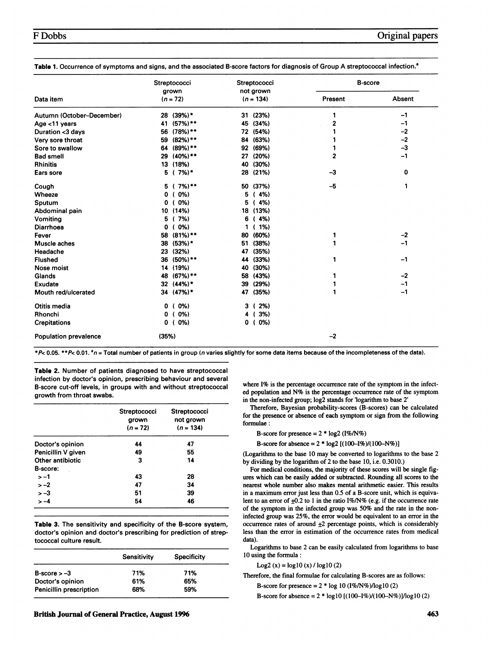|                              | Streptococci        | Streptococci<br>not grown | <b>B-score</b> |        |
|------------------------------|---------------------|---------------------------|----------------|--------|
| Data item                    | grown<br>$(n = 72)$ | $(n = 134)$               | Present        | Absent |
| Autumn (October-December)    | $(39%)*$<br>28      | (23%)<br>31               | 1              | $-1$   |
| Age <11 years                | $(57%)$ **<br>41    | 45<br>(34%)               | $\mathbf{2}$   | $-1$   |
| Duration <3 days             | $(78%)$ **<br>56    | 72<br>(54%)               |                | -2     |
| Very sore throat             | $(82%)$ **<br>59    | (63%)<br>84               |                | $-2$   |
| Sore to swallow              | $(89\%)$ **<br>64   | 92<br>(69%)               |                | $-3$   |
| <b>Bad smell</b>             | $(40\%)$ **<br>29   | (20%)<br>27               | $\overline{2}$ | $-1$   |
| <b>Rhinitis</b>              | 13<br>(18%)         | (30%)<br>40               |                |        |
| Ears sore                    | 7%)*<br>5           | (21%)<br>28               | $-3$           | 0      |
| Cough                        | 7%)**<br>5          | (37%)<br>50               | $-5$           | 1      |
| Wheeze                       | $0\%$<br>0          | 5<br>(4%)                 |                |        |
| Sputum                       | 0%<br>0             | (4%)<br>5                 |                |        |
| Abdominal pain               | 10 (14%)            | (13%)<br>18               |                |        |
| Vomiting                     | 7%)<br>5<br>-1      | (4%)<br>6                 |                |        |
| Diarrhoea                    | $(0\%)$<br>0        | $(1\%)$<br>1              |                |        |
| Fever                        | $(81\%)$ **<br>58   | (60%)<br>80               | 1              | $-2$   |
| Muscle aches                 | $(53%)*$<br>38      | (38%)<br>51               | 1              | $-1$   |
| Headache                     | (32%)<br>23         | (35%)<br>47               |                |        |
| <b>Flushed</b>               | $(50\%)$ **<br>36   | (33%)<br>44               | 1              | $-1$   |
| Nose moist                   | 14 (19%)            | (30%)<br>40               |                |        |
| Glands                       | $(67%)$ **<br>48    | (43%)<br>58               |                | $-2$   |
| Exudate                      | $(44%)$ *<br>32     | (29%)<br>39               |                | $-1$   |
| Mouth red/ulcerated          | 34 (47%)*           | 47<br>(35%)               | 1              | $-1$   |
| Otitis media                 | $(0\%)$<br>0        | $(2\%)$<br>3              |                |        |
| Rhonchi                      | 0%)<br>0            | $3\%)$<br>4               |                |        |
| <b>Crepitations</b>          | $(0\%)$<br>0        | $0 (0\%)$                 |                |        |
| <b>Population prevalence</b> | (35%)               |                           | $-2$           |        |

Table 1. Occurrence of symptoms and signs, and the associated B-score factors for diagnosis of Group A streptococcal infection.<sup>8</sup>

\*P< 0.05. \*\*P< 0.01.  $n =$  Total number of patients in group (n varies slightly for some data items because of the incompleteness of the data).

Table 2. Number of patients diagnosed to have streptococcal infection by doctor's opinion, prescribing behaviour and several B-score cut-off levels, in groups with and without streptococcal growth from throat swabs.

|                    | <b>Streptococci</b><br>grown<br>$(n = 72)$ | <b>Streptococci</b><br>not grown<br>$(n = 134)$ |
|--------------------|--------------------------------------------|-------------------------------------------------|
| Doctor's opinion   | 44                                         | 47                                              |
| Penicillin V given | 49                                         | 55                                              |
| Other antibiotic   | 3                                          | 14                                              |
| <b>B-score:</b>    |                                            |                                                 |
| $> -1$             | 43                                         | 28                                              |
| $>-2$              | 47                                         | 34                                              |
| $> -3$             | 51                                         | 39                                              |
| $>-4$              | 54                                         | 46                                              |

Table 3. The sensitivity and specificity of the B-score system, doctor's opinion and doctor's prescribing for prediction of streptococcal culture result.

|                         | Sensitivity | <b>Specificity</b> |
|-------------------------|-------------|--------------------|
| $B-score > -3$          | 71%         | 71%                |
| Doctor's opinion        | 61%         | 65%                |
| Penicillin prescription | 68%         | 59%                |

British Journal of General Practice, August 1996 463

where I% is the percentage occurrence rate of the symptom in the infected population and N% is the percentage occurrence rate of the symptom in the non-infected group; log2 stands for 'logarithm to base <sup>2</sup>'

Therefore, Bayesian probability-scores (B-scores) can be calculated for the presence or absence of each symptom or sign from the following formulae:

B-score for presence  $=2 * log2 (1\% / N\%)$ 

B-score for absence =  $2 * log2 [(100 - 1\%)/(100 - N\%)]$ 

(Logarithms to the base 10 may be converted to logarithms to the base 2 by dividing by the logarithm of 2 to the base 10, i.e. 0.3010.)

For medical conditions, the majority of these scores will be single figures which can be easily added or subtracted. Rounding all scores to the nearest whole number also makes mental arithmetic easier. This results in a maximum error just less than 0.5 of a B-score unit, which is equivalent to an error of  $\pm 0.2$  to 1 in the ratio I%/N% (e.g. if the occurrence rate of the symptom in the infected group was 50% and the rate in the noninfected group was 25%, the error would be equivalent to an error in the occurrence rates of around  $\pm 2$  percentage points, which is considerably less than the error in estimation of the occurrence rates from medical data).

Logarithms to base 2 can be easily calculated from logarithms to base 10 using the formula:

Log2 (x) =  $log10(x) / log10(2)$ 

Therefore, the final formulae for calculating B-scores are as follows:

B-score for presence =  $2 * log 10 (1\%/N\%) log 10 (2)$ 

B-score for absence =  $2 * log 10 [(100–1%)/(100–N%)] / log 10 (2)$